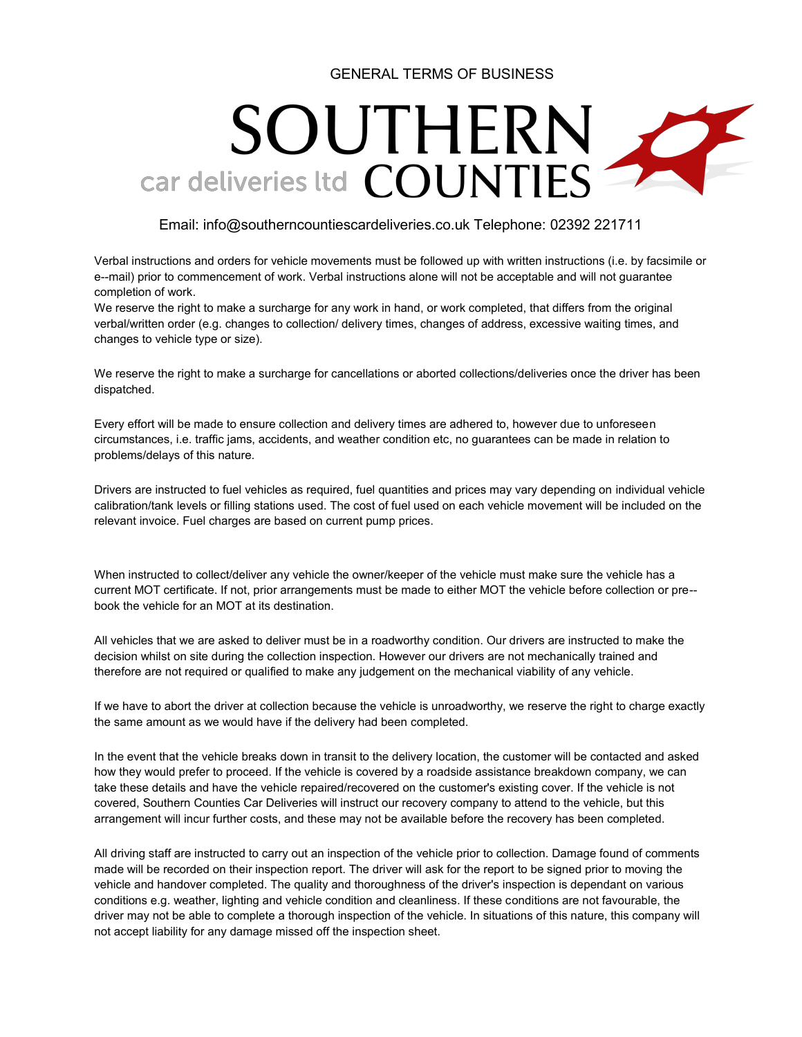### GENERAL TERMS OF BUSINESS

# SOUTHERN car deliveries Itd COUNTIES

### Email: info@southerncountiescardeliveries.co.uk Telephone: 02392 221711

Verbal instructions and orders for vehicle movements must be followed up with written instructions (i.e. by facsimile or e--mail) prior to commencement of work. Verbal instructions alone will not be acceptable and will not guarantee completion of work.

We reserve the right to make a surcharge for any work in hand, or work completed, that differs from the original verbal/written order (e.g. changes to collection/ delivery times, changes of address, excessive waiting times, and changes to vehicle type or size).

We reserve the right to make a surcharge for cancellations or aborted collections/deliveries once the driver has been dispatched.

Every effort will be made to ensure collection and delivery times are adhered to, however due to unforeseen circumstances, i.e. traffic jams, accidents, and weather condition etc, no guarantees can be made in relation to problems/delays of this nature.

Drivers are instructed to fuel vehicles as required, fuel quantities and prices may vary depending on individual vehicle calibration/tank levels or filling stations used. The cost of fuel used on each vehicle movement will be included on the relevant invoice. Fuel charges are based on current pump prices.

When instructed to collect/deliver any vehicle the owner/keeper of the vehicle must make sure the vehicle has a current MOT certificate. If not, prior arrangements must be made to either MOT the vehicle before collection or pre- book the vehicle for an MOT at its destination.

All vehicles that we are asked to deliver must be in a roadworthy condition. Our drivers are instructed to make the decision whilst on site during the collection inspection. However our drivers are not mechanically trained and therefore are not required or qualified to make any judgement on the mechanical viability of any vehicle.

If we have to abort the driver at collection because the vehicle is unroadworthy, we reserve the right to charge exactly the same amount as we would have if the delivery had been completed.

In the event that the vehicle breaks down in transit to the delivery location, the customer will be contacted and asked how they would prefer to proceed. If the vehicle is covered by a roadside assistance breakdown company, we can take these details and have the vehicle repaired/recovered on the customer's existing cover. If the vehicle is not covered, Southern Counties Car Deliveries will instruct our recovery company to attend to the vehicle, but this arrangement will incur further costs, and these may not be available before the recovery has been completed.

All driving staff are instructed to carry out an inspection of the vehicle prior to collection. Damage found of comments made will be recorded on their inspection report. The driver will ask for the report to be signed prior to moving the vehicle and handover completed. The quality and thoroughness of the driver's inspection is dependant on various conditions e.g. weather, lighting and vehicle condition and cleanliness. If these conditions are not favourable, the driver may not be able to complete a thorough inspection of the vehicle. In situations of this nature, this company will not accept liability for any damage missed off the inspection sheet.